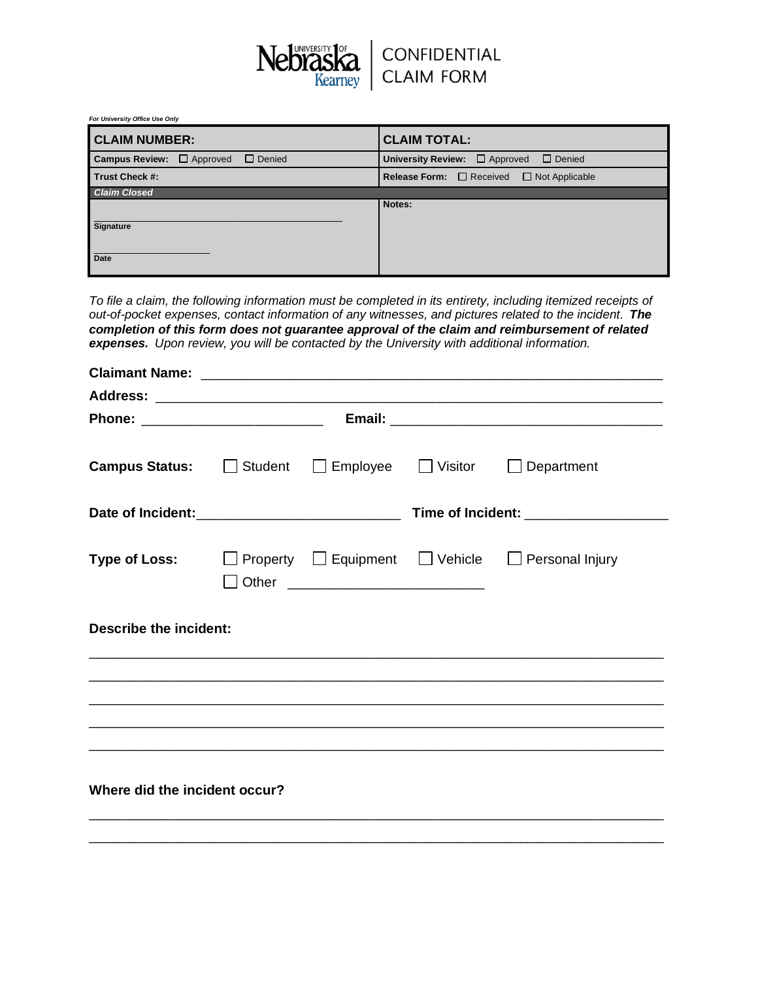

*For University Office Use Only*

| <b>CLAIM NUMBER:</b>                                   | <b>CLAIM TOTAL:</b>                                        |  |  |  |
|--------------------------------------------------------|------------------------------------------------------------|--|--|--|
| <b>Campus Review:</b> $\Box$ Approved<br>$\Box$ Denied | University Review: $\Box$ Approved<br>$\Box$ Denied        |  |  |  |
| Trust Check #:                                         | <b>Release Form:</b> $\Box$ Received $\Box$ Not Applicable |  |  |  |
| <b>Claim Closed</b>                                    |                                                            |  |  |  |
| <b>Signature</b>                                       | Notes:                                                     |  |  |  |
| Date                                                   |                                                            |  |  |  |

*To file a claim, the following information must be completed in its entirety, including itemized receipts of out-of-pocket expenses, contact information of any witnesses, and pictures related to the incident. The completion of this form does not guarantee approval of the claim and reimbursement of related expenses. Upon review, you will be contacted by the University with additional information.*

| <b>Campus Status:</b> Student Employee Visitor Department |  |                                      |  |                                                                                                                       |  |
|-----------------------------------------------------------|--|--------------------------------------|--|-----------------------------------------------------------------------------------------------------------------------|--|
|                                                           |  |                                      |  |                                                                                                                       |  |
|                                                           |  | □ Other ____________________________ |  | <b>Type of Loss:</b> $\Box$ Property $\Box$ Equipment $\Box$ Vehicle $\Box$ Personal Injury                           |  |
| <b>Describe the incident:</b>                             |  |                                      |  |                                                                                                                       |  |
|                                                           |  |                                      |  | <u> 1980 - Johann Stoff, deutscher Stoff, der Stoff, der Stoff, der Stoff, der Stoff, der Stoff, der Stoff, der S</u> |  |
|                                                           |  |                                      |  | <u> 1989 - Johann Stoff, deutscher Stoff, der Stoff, der Stoff, der Stoff, der Stoff, der Stoff, der Stoff, der S</u> |  |
|                                                           |  |                                      |  |                                                                                                                       |  |
| Where did the incident occur?                             |  |                                      |  |                                                                                                                       |  |

\_\_\_\_\_\_\_\_\_\_\_\_\_\_\_\_\_\_\_\_\_\_\_\_\_\_\_\_\_\_\_\_\_\_\_\_\_\_\_\_\_\_\_\_\_\_\_\_\_\_\_\_\_\_\_\_\_\_\_\_\_\_\_\_\_\_\_\_\_\_\_\_\_\_\_\_ \_\_\_\_\_\_\_\_\_\_\_\_\_\_\_\_\_\_\_\_\_\_\_\_\_\_\_\_\_\_\_\_\_\_\_\_\_\_\_\_\_\_\_\_\_\_\_\_\_\_\_\_\_\_\_\_\_\_\_\_\_\_\_\_\_\_\_\_\_\_\_\_\_\_\_\_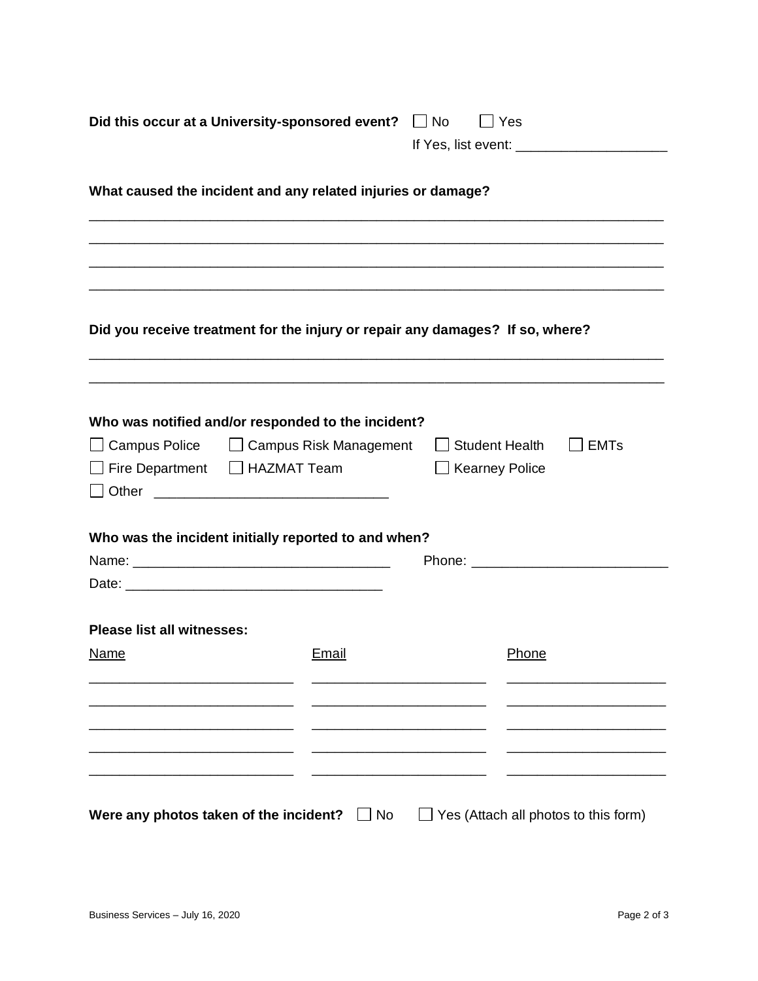|                                                              | Did this occur at a University-sponsored event?   No                                                                  |  | Yes                                       |                                      |  |  |  |  |
|--------------------------------------------------------------|-----------------------------------------------------------------------------------------------------------------------|--|-------------------------------------------|--------------------------------------|--|--|--|--|
|                                                              |                                                                                                                       |  |                                           |                                      |  |  |  |  |
| What caused the incident and any related injuries or damage? |                                                                                                                       |  |                                           |                                      |  |  |  |  |
|                                                              | <u> 1999 - Johann Stoff, deutscher Stoff, der Stoff, der Stoff, der Stoff, der Stoff, der Stoff, der Stoff, der S</u> |  |                                           |                                      |  |  |  |  |
|                                                              | Did you receive treatment for the injury or repair any damages? If so, where?                                         |  |                                           |                                      |  |  |  |  |
| Fire Department   HAZMAT Team                                | Who was notified and/or responded to the incident?<br>□ Campus Police □ □ Campus Risk Management                      |  | □ Student Health<br>$\Box$ Kearney Police | <b>EMTs</b>                          |  |  |  |  |
|                                                              | Who was the incident initially reported to and when?                                                                  |  | Phone: ________________________           |                                      |  |  |  |  |
| <b>Please list all witnesses:</b><br>Name                    | Email                                                                                                                 |  | Phone                                     |                                      |  |  |  |  |
|                                                              |                                                                                                                       |  |                                           |                                      |  |  |  |  |
|                                                              |                                                                                                                       |  |                                           |                                      |  |  |  |  |
|                                                              | Were any photos taken of the incident? $\Box$ No                                                                      |  |                                           | Yes (Attach all photos to this form) |  |  |  |  |